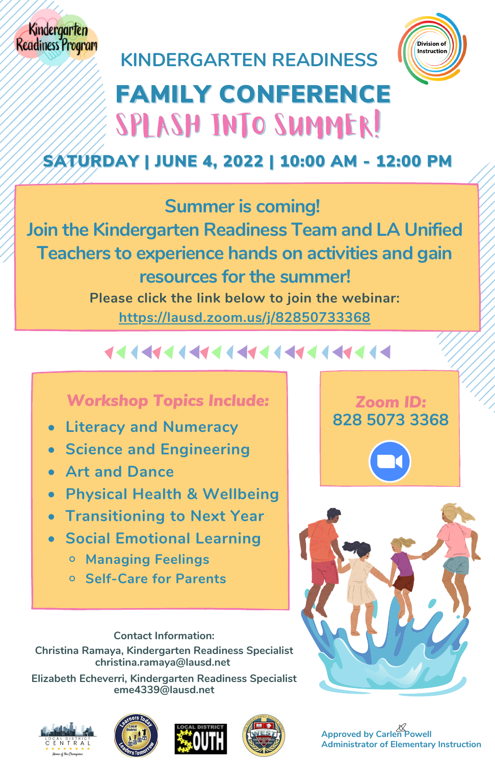**KINDERGARTEN READINESS**



# FAMILY CONFERENCE SPLASH INTO SUMMER!

#### SATURDAY | JUNE 4, 2022 | 10:00 AM - 12:00 PM

#### **Summer is coming!**

**Join the Kindergarten Readiness Team and LA Unified Teachers to experience hands on activities and gain resources for the summer! Please click the link below to join the webinar: <https://lausd.zoom.us/j/82850733368>**

### **......................**

#### *Workshop Topics Include:*

- **Literacy and Numeracy**
- **Science and Engineering**
- **Art and Dance**
- **Physical Health & Wellbeing**
- **Transitioning to Next Year**
- **Social Emotional Learning**
	- **Managing Feelings**
	- **Self-Care for Parents**

*Zoom ID:* **828 5073 3368**



**Contact Information: Christina Ramaya, Kindergarten Readiness Specialist christina.ramaya@lausd.net**

**Elizabeth Echeverri, Kindergarten Readiness Specialist eme4339@lausd.net**









**Approved by Carlen Powell Administrator of Elementary Instruction**